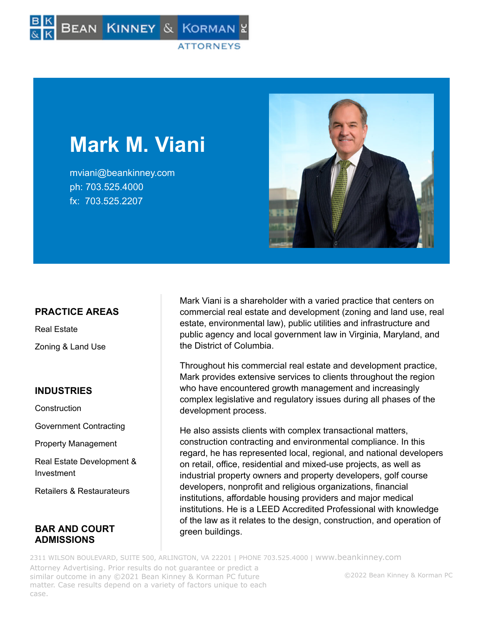

# **Mark M. Viani**

mviani@beankinney.com ph: 703.525.4000 fx: 703.525.2207



# **PRACTICE AREAS**

Real Estate Zoning & Land Use

## **INDUSTRIES**

**Construction** 

Government Contracting

Property Management

Real Estate Development & Investment

Retailers & Restaurateurs

## **BAR AND COURT ADMISSIONS**

Mark Viani is a shareholder with a varied practice that centers on commercial real estate and development (zoning and land use, real estate, environmental law), public utilities and infrastructure and public agency and local government law in Virginia, Maryland, and the District of Columbia.

Throughout his commercial real estate and development practice, Mark provides extensive services to clients throughout the region who have encountered growth management and increasingly complex legislative and regulatory issues during all phases of the development process.

He also assists clients with complex transactional matters, construction contracting and environmental compliance. In this regard, he has represented local, regional, and national developers on retail, office, residential and mixed-use projects, as well as industrial property owners and property developers, golf course developers, nonprofit and religious organizations, financial institutions, affordable housing providers and major medical institutions. He is a LEED Accredited Professional with knowledge of the law as it relates to the design, construction, and operation of green buildings.

2311 WILSON BOULEVARD, SUITE 500, ARLINGTON, VA 22201 | PHONE 703.525.4000 | [www.beankinney.com](http://www.beankinney.com/) Attorney Advertising. Prior results do not guarantee or predict a similar outcome in any ©2021 Bean Kinney & Korman PC future matter. Case results depend on a variety of factors unique to each case.

#### ©2022 Bean Kinney & Korman PC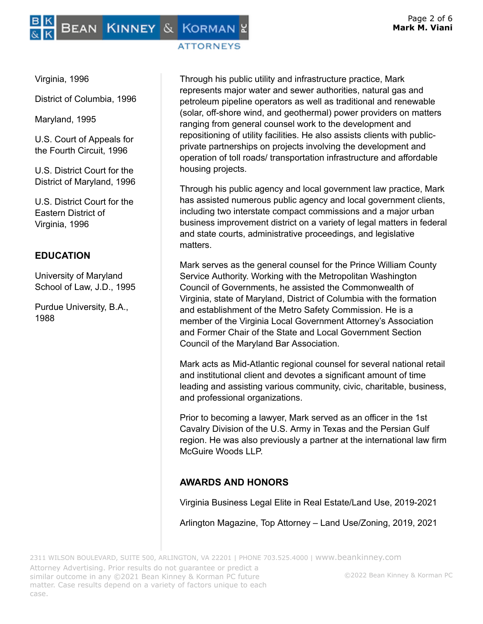# BEAN KINNEY & KORMAN

### **ATTORNEYS**

Virginia, 1996

District of Columbia, 1996

Maryland, 1995

U.S. Court of Appeals for the Fourth Circuit, 1996

U.S. District Court for the District of Maryland, 1996

U.S. District Court for the Eastern District of Virginia, 1996

# **EDUCATION**

University of Maryland School of Law, J.D., 1995

Purdue University, B.A., 1988

Through his public utility and infrastructure practice, Mark represents major water and sewer authorities, natural gas and petroleum pipeline operators as well as traditional and renewable (solar, off-shore wind, and geothermal) power providers on matters ranging from general counsel work to the development and repositioning of utility facilities. He also assists clients with publicprivate partnerships on projects involving the development and operation of toll roads/ transportation infrastructure and affordable housing projects.

Through his public agency and local government law practice, Mark has assisted numerous public agency and local government clients, including two interstate compact commissions and a major urban business improvement district on a variety of legal matters in federal and state courts, administrative proceedings, and legislative matters.

Mark serves as the general counsel for the Prince William County Service Authority. Working with the Metropolitan Washington Council of Governments, he assisted the Commonwealth of Virginia, state of Maryland, District of Columbia with the formation and establishment of the Metro Safety Commission. He is a member of the Virginia Local Government Attorney's Association and Former Chair of the State and Local Government Section Council of the Maryland Bar Association.

Mark acts as Mid-Atlantic regional counsel for several national retail and institutional client and devotes a significant amount of time leading and assisting various community, civic, charitable, business, and professional organizations.

Prior to becoming a lawyer, Mark served as an officer in the 1st Cavalry Division of the U.S. Army in Texas and the Persian Gulf region. He was also previously a partner at the international law firm McGuire Woods LLP.

# **AWARDS AND HONORS**

Virginia Business Legal Elite in Real Estate/Land Use, 2019-2021

Arlington Magazine, Top Attorney – Land Use/Zoning, 2019, 2021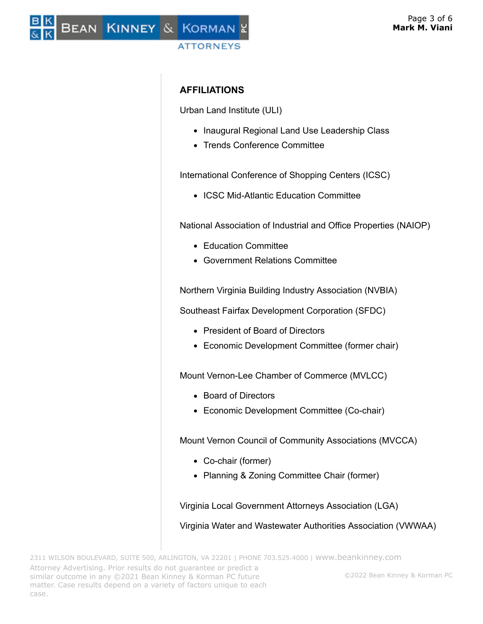# BEAN KINNEY & KORMAN **ATTORNEYS**

# **AFFILIATIONS**

Urban Land Institute (ULI)

- Inaugural Regional Land Use Leadership Class
- Trends Conference Committee

International Conference of Shopping Centers (ICSC)

• ICSC Mid-Atlantic Education Committee

National Association of Industrial and Office Properties (NAIOP)

- Education Committee
- Government Relations Committee

Northern Virginia Building Industry Association (NVBIA)

Southeast Fairfax Development Corporation (SFDC)

- President of Board of Directors
- Economic Development Committee (former chair)

Mount Vernon-Lee Chamber of Commerce (MVLCC)

- Board of Directors
- Economic Development Committee (Co-chair)

Mount Vernon Council of Community Associations (MVCCA)

- Co-chair (former)
- Planning & Zoning Committee Chair (former)

Virginia Local Government Attorneys Association (LGA)

Virginia Water and Wastewater Authorities Association (VWWAA)

©2022 Bean Kinney & Korman PC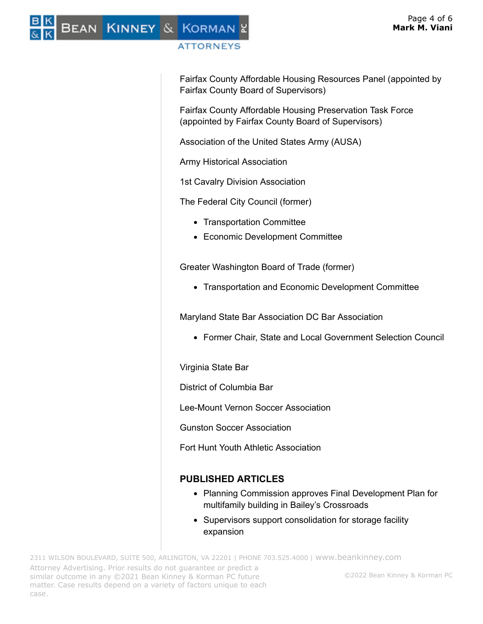# BEAN KINNEY & KORMAN

# **ATTORNEYS**

Fairfax County Affordable Housing Resources Panel (appointed by Fairfax County Board of Supervisors)

Fairfax County Affordable Housing Preservation Task Force (appointed by Fairfax County Board of Supervisors)

Association of the United States Army (AUSA)

Army Historical Association

1st Cavalry Division Association

The Federal City Council (former)

- Transportation Committee
- Economic Development Committee

Greater Washington Board of Trade (former)

Transportation and Economic Development Committee

Maryland State Bar Association DC Bar Association

Former Chair, State and Local Government Selection Council

Virginia State Bar

District of Columbia Bar

Lee-Mount Vernon Soccer Association

Gunston Soccer Association

Fort Hunt Youth Athletic Association

# **PUBLISHED ARTICLES**

- Planning Commission approves Final Development Plan for multifamily building in Bailey's Crossroads
- Supervisors support consolidation for storage facility expansion

2311 WILSON BOULEVARD, SUITE 500, ARLINGTON, VA 22201 | PHONE 703.525.4000 | [www.beankinney.com](http://www.beankinney.com/) Attorney Advertising. Prior results do not guarantee or predict a similar outcome in any ©2021 Bean Kinney & Korman PC future matter. Case results depend on a variety of factors unique to each case. ©2022 Bean Kinney & Korman PC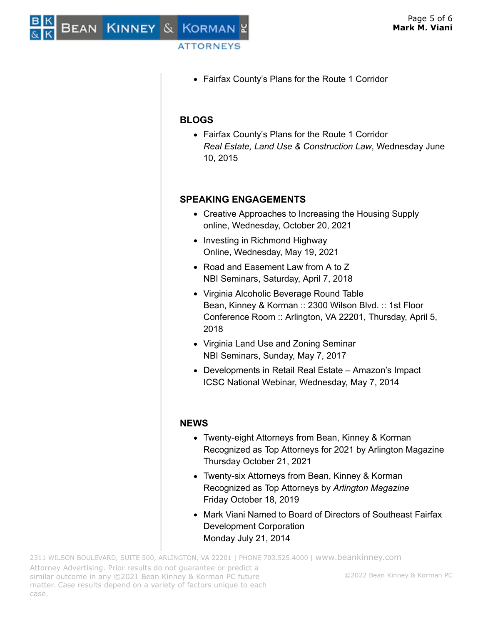## **ATTORNEYS**

Fairfax County's Plans for the Route 1 Corridor

# **BLOGS**

Fairfax County's Plans for the Route 1 Corridor *Real Estate, Land Use & Construction Law*, Wednesday June 10, 2015

# **SPEAKING ENGAGEMENTS**

- Creative Approaches to Increasing the Housing Supply online, Wednesday, October 20, 2021
- Investing in Richmond Highway Online, Wednesday, May 19, 2021
- Road and Easement Law from A to Z NBI Seminars, Saturday, April 7, 2018
- Virginia Alcoholic Beverage Round Table Bean, Kinney & Korman :: 2300 Wilson Blvd. :: 1st Floor Conference Room :: Arlington, VA 22201, Thursday, April 5, 2018
- Virginia Land Use and Zoning Seminar NBI Seminars, Sunday, May 7, 2017
- Developments in Retail Real Estate Amazon's Impact ICSC National Webinar, Wednesday, May 7, 2014

## **NEWS**

- Twenty-eight Attorneys from Bean, Kinney & Korman Recognized as Top Attorneys for 2021 by Arlington Magazine Thursday October 21, 2021
- Twenty-six Attorneys from Bean, Kinney & Korman Recognized as Top Attorneys by *Arlington Magazine* Friday October 18, 2019
- Mark Viani Named to Board of Directors of Southeast Fairfax Development Corporation Monday July 21, 2014